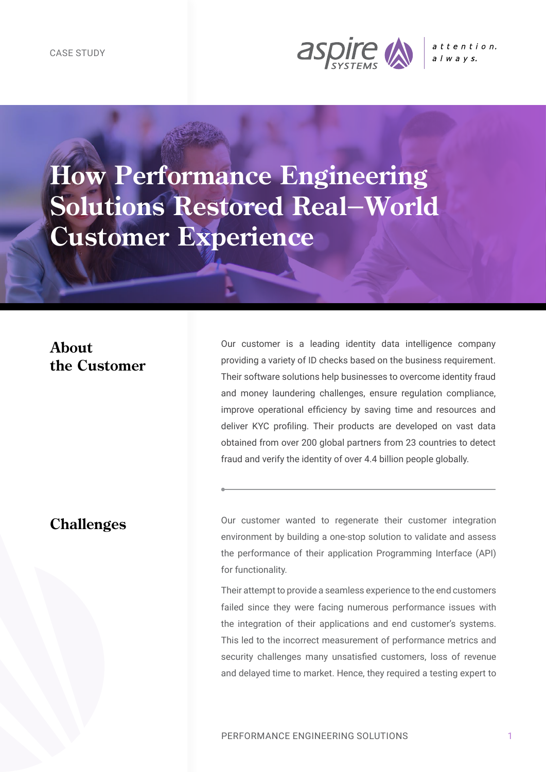

**How Performance Engineering Solutions Restored Real-World Customer Experience**

# **About the Customer**

Our customer is a leading identity data intelligence company providing a variety of ID checks based on the business requirement. Their software solutions help businesses to overcome identity fraud and money laundering challenges, ensure regulation compliance, improve operational efficiency by saving time and resources and deliver KYC profiling. Their products are developed on vast data obtained from over 200 global partners from 23 countries to detect fraud and verify the identity of over 4.4 billion people globally.

#### **Challenges**

Our customer wanted to regenerate their customer integration environment by building a one-stop solution to validate and assess the performance of their application Programming Interface (API) for functionality.

Their attempt to provide a seamless experience to the end customers failed since they were facing numerous performance issues with the integration of their applications and end customer's systems. This led to the incorrect measurement of performance metrics and security challenges many unsatisfied customers, loss of revenue and delayed time to market. Hence, they required a testing expert to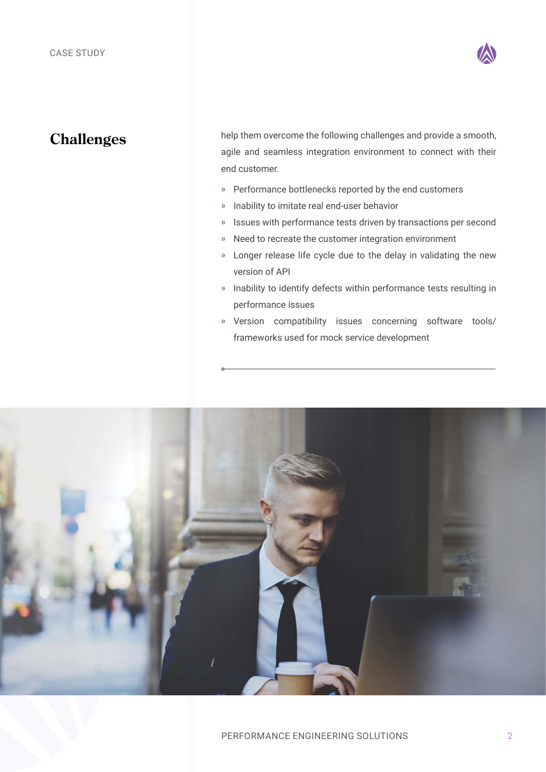

### **Challenges**

help them overcome the following challenges and provide a smooth, agile and seamless integration environment to connect with their end customer.

- » Performance bottlenecks reported by the end customers
- » Inability to imitate real end-user behavior
- » Issues with performance tests driven by transactions per second
- » Need to recreate the customer integration environment
- » Longer release life cycle due to the delay in validating the new version of API
- » Inability to identify defects within performance tests resulting in performance issues
- » Version compatibility issues concerning software tools/ frameworks used for mock service development

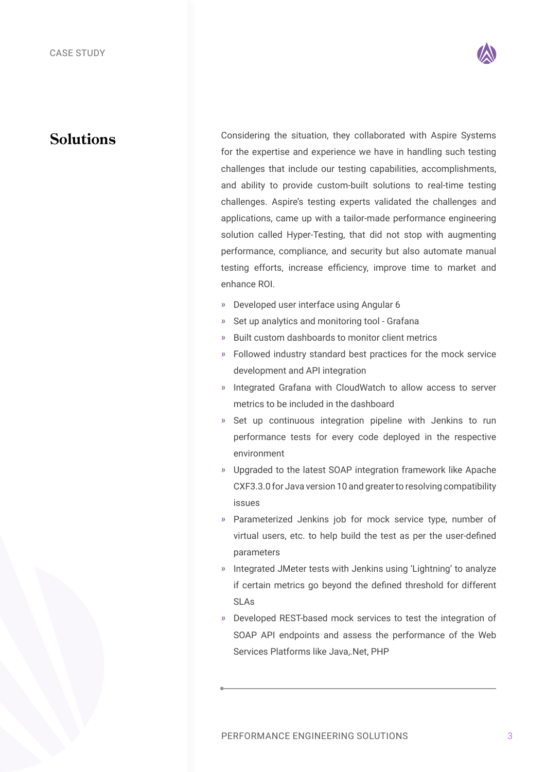

#### **Solutions**

Considering the situation, they collaborated with Aspire Systems for the expertise and experience we have in handling such testing challenges that include our testing capabilities, accomplishments, and ability to provide custom-built solutions to real-time testing challenges. Aspire's testing experts validated the challenges and applications, came up with a tailor-made performance engineering solution called Hyper-Testing, that did not stop with augmenting performance, compliance, and security but also automate manual testing efforts, increase efficiency, improve time to market and enhance ROI.

- » Developed user interface using Angular 6
- Set up analytics and monitoring tool Grafana
- » Built custom dashboards to monitor client metrics
- » Followed industry standard best practices for the mock service development and API integration
- » Integrated Grafana with CloudWatch to allow access to server metrics to be included in the dashboard
- » Set up continuous integration pipeline with Jenkins to run performance tests for every code deployed in the respective environment
- » Upgraded to the latest SOAP integration framework like Apache CXF3.3.0 for Java version 10 and greater to resolving compatibility issues
- » Parameterized Jenkins job for mock service type, number of virtual users, etc. to help build the test as per the user-defined parameters
- » Integrated JMeter tests with Jenkins using 'Lightning' to analyze if certain metrics go beyond the defined threshold for different SLAs
- » Developed REST-based mock services to test the integration of SOAP API endpoints and assess the performance of the Web Services Platforms like Java,.Net, PHP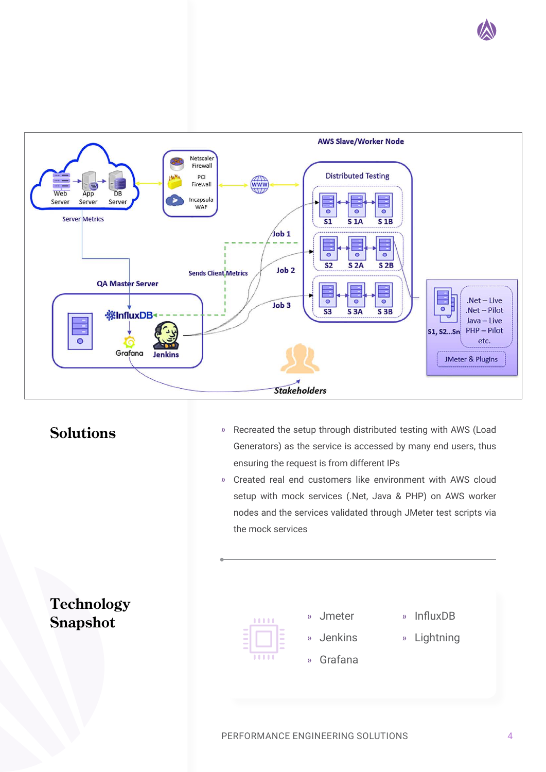



# **Solutions**

- » Recreated the setup through distributed testing with AWS (Load Generators) as the service is accessed by many end users, thus ensuring the request is from different IPs
- » Created real end customers like environment with AWS cloud setup with mock services (.Net, Java & PHP) on AWS worker nodes and the services validated through JMeter test scripts via the mock services





» Jmeter

» Jenkins

- » Grafana
- » InfluxDB
- » Lightning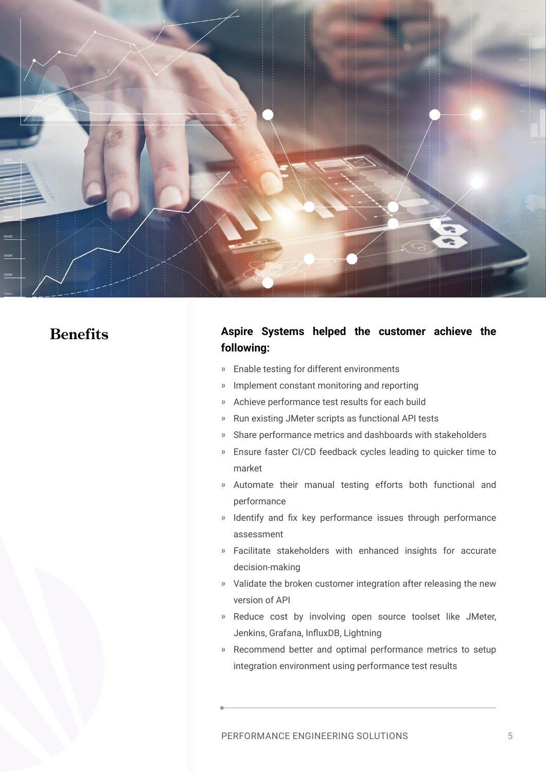

# **Benefits**

#### **Aspire Systems helped the customer achieve the following:**

- » Enable testing for different environments
- » Implement constant monitoring and reporting
- » Achieve performance test results for each build
- » Run existing JMeter scripts as functional API tests
- » Share performance metrics and dashboards with stakeholders
- » Ensure faster CI/CD feedback cycles leading to quicker time to market
- » Automate their manual testing efforts both functional and performance
- » Identify and fix key performance issues through performance assessment
- » Facilitate stakeholders with enhanced insights for accurate decision-making
- » Validate the broken customer integration after releasing the new version of API
- » Reduce cost by involving open source toolset like JMeter, Jenkins, Grafana, InfluxDB, Lightning
- » Recommend better and optimal performance metrics to setup integration environment using performance test results